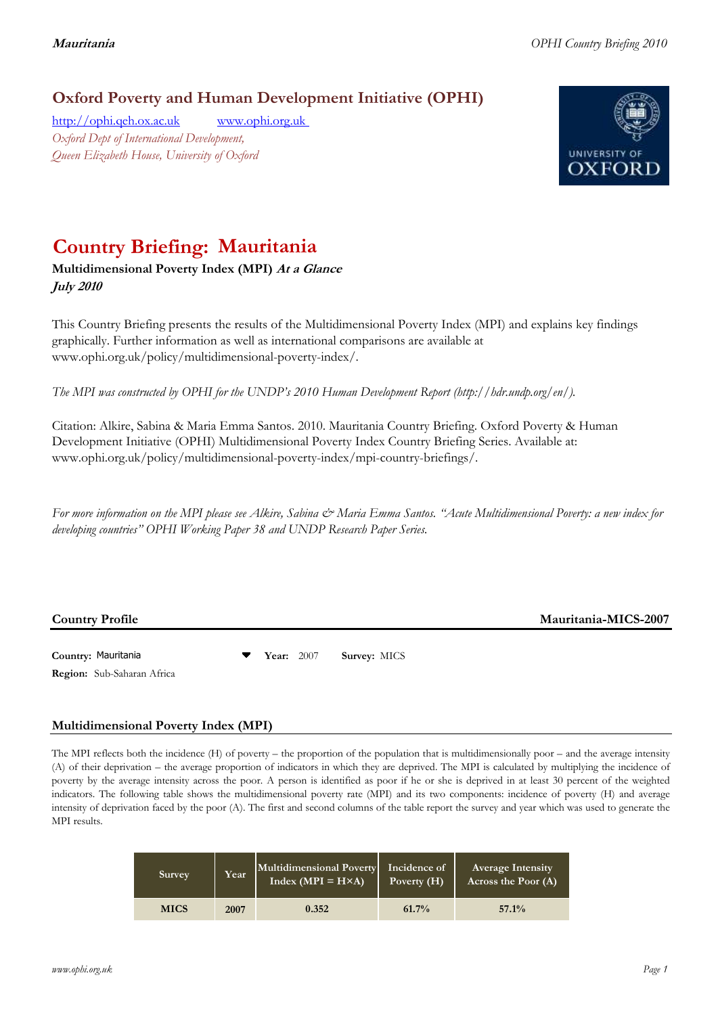## **Oxford Poverty and Human Development Initiative (OPHI)**

[http://ophi.qeh.ox.ac.uk](http://ophi.qeh.ox.ac.uk/) [www.ophi.org.uk](http://www.ophi.org.uk/)  *Oxford Dept of International Development, Queen Elizabeth House, University of Oxford*



# **Country Briefing: Mauritania**

### **Multidimensional Poverty Index (MPI) At a Glance July 2010**

This Country Briefing presents the results of the Multidimensional Poverty Index (MPI) and explains key findings graphically. Further information as well as international comparisons are available at www.ophi.org.uk/policy/multidimensional-poverty-index/.

*The MPI was constructed by OPHI for the UNDP's 2010 Human Development Report (http://hdr.undp.org/en/).*

Citation: Alkire, Sabina & Maria Emma Santos. 2010. Mauritania Country Briefing. Oxford Poverty & Human Development Initiative (OPHI) Multidimensional Poverty Index Country Briefing Series. Available at: www.ophi.org.uk/policy/multidimensional-poverty-index/mpi-country-briefings/.

*For more information on the MPI please see Alkire, Sabina & Maria Emma Santos. "Acute Multidimensional Poverty: a new index for developing countries" OPHI Working Paper 38 and UNDP Research Paper Series.*

**Country Profile Mauritania-MICS-2007**

**Country:** 3 Mauritania 57 **Year:** 2007 **Survey:** MICS Mauritania**Region:** Sub-Saharan Africa

### **Multidimensional Poverty Index (MPI)**

The MPI reflects both the incidence (H) of poverty – the proportion of the population that is multidimensionally poor – and the average intensity (A) of their deprivation – the average proportion of indicators in which they are deprived. The MPI is calculated by multiplying the incidence of poverty by the average intensity across the poor. A person is identified as poor if he or she is deprived in at least 30 percent of the weighted indicators. The following table shows the multidimensional poverty rate (MPI) and its two components: incidence of poverty (H) and average intensity of deprivation faced by the poor (A). The first and second columns of the table report the survey and year which was used to generate the MPI results.

| <b>Survey</b> | Year | Multidimensional Poverty<br>$Index (MPI = H \times A)$ | Incidence of<br>Poverty $(H)$ | <b>Average Intensity</b><br>Across the Poor (A) |
|---------------|------|--------------------------------------------------------|-------------------------------|-------------------------------------------------|
| <b>MICS</b>   | 2007 | 0.352                                                  | $61.7\%$                      | 57.1%                                           |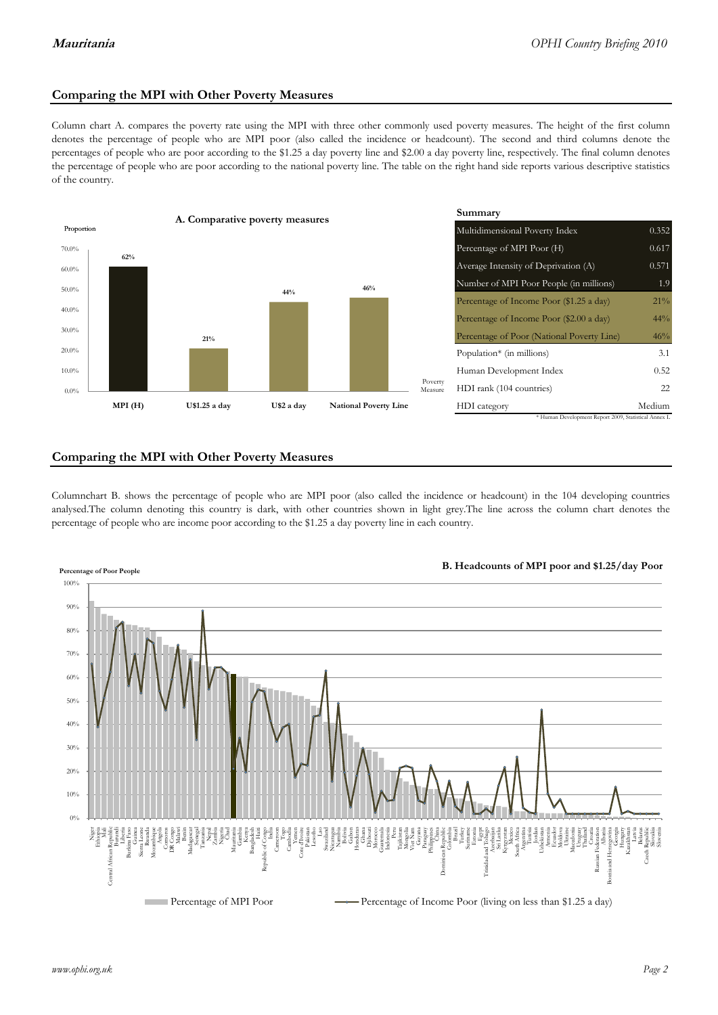#### **Comparing the MPI with Other Poverty Measures**

Column chart A. compares the poverty rate using the MPI with three other commonly used poverty measures. The height of the first column denotes the percentage of people who are MPI poor (also called the incidence or headcount). The second and third columns denote the percentages of people who are poor according to the \$1.25 a day poverty line and \$2.00 a day poverty line, respectively. The final column denotes the percentage of people who are poor according to the national poverty line. The table on the right hand side reports various descriptive statistics of the country.



#### **Comparing the MPI with Other Poverty Measures**

Columnchart B. shows the percentage of people who are MPI poor (also called the incidence or headcount) in the 104 developing countries analysed.The column denoting this country is dark, with other countries shown in light grey.The line across the column chart denotes the percentage of people who are income poor according to the \$1.25 a day poverty line in each country.

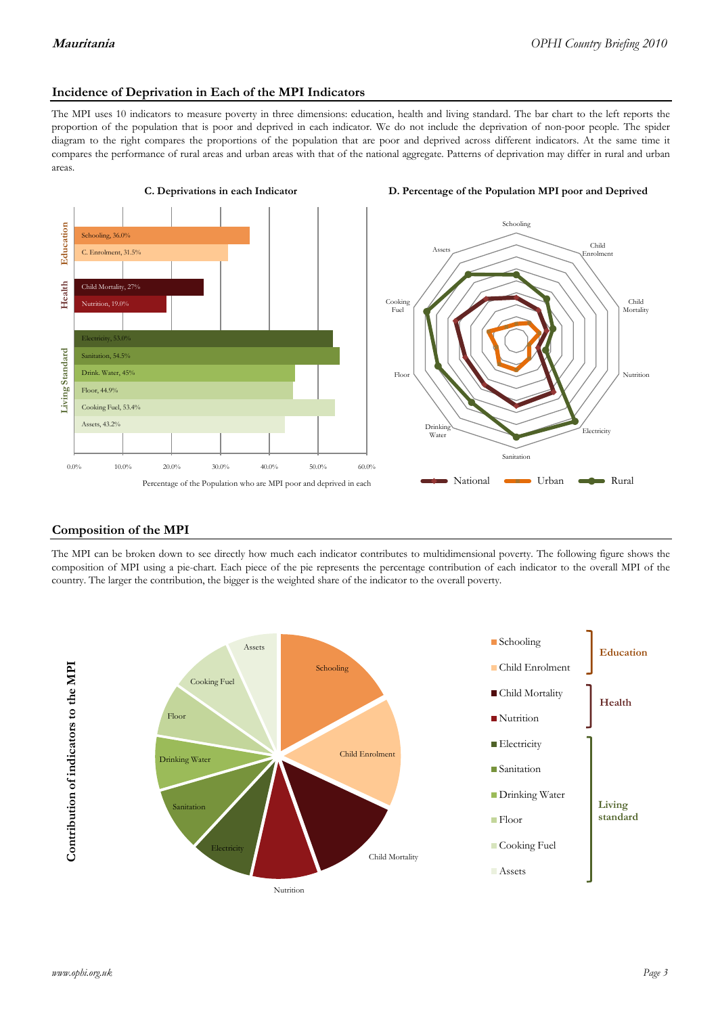#### **Incidence of Deprivation in Each of the MPI Indicators**

The MPI uses 10 indicators to measure poverty in three dimensions: education, health and living standard. The bar chart to the left reports the proportion of the population that is poor and deprived in each indicator. We do not include the deprivation of non-poor people. The spider diagram to the right compares the proportions of the population that are poor and deprived across different indicators. At the same time it compares the performance of rural areas and urban areas with that of the national aggregate. Patterns of deprivation may differ in rural and urban areas.







#### **Composition of the MPI**

The MPI can be broken down to see directly how much each indicator contributes to multidimensional poverty. The following figure shows the composition of MPI using a pie-chart. Each piece of the pie represents the percentage contribution of each indicator to the overall MPI of the country. The larger the contribution, the bigger is the weighted share of the indicator to the overall poverty.